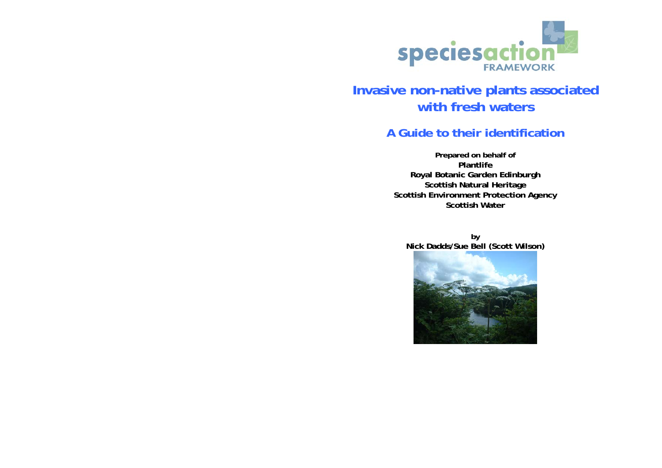

# **Invasive non-native plants associated with fresh waters**

# **A Guide to their identification**

**Prepared on behalf of Plantlife Royal Botanic Garden Edinburgh Scottish Natural Heritage Scottish Environment Protection Agency Scottish Water**

**by Nick Dadds/Sue Bell (Scott Wilson)** 

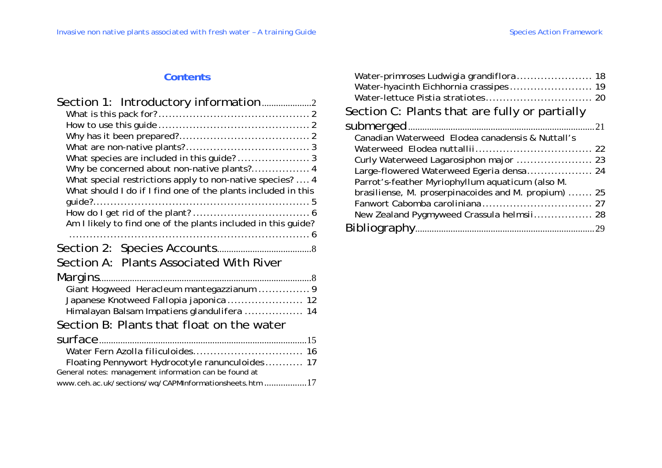# **Contents**

| What special restrictions apply to non-native species?  4     |
|---------------------------------------------------------------|
| What should I do if I find one of the plants included in this |
|                                                               |
| Am I likely to find one of the plants included in this guide? |
|                                                               |
| Section A: Plants Associated With River                       |
| Margins                                                       |
| Giant Hogweed Heracleum mantegazzianum  9                     |
| Japanese Knotweed Fallopia japonica 12                        |
| Himalayan Balsam Impatiens glandulifera  14                   |
| Section B: Plants that float on the water                     |
| surface                                                       |
|                                                               |
| Floating Pennywort Hydrocotyle ranunculoides 17               |
| General notes: management information can be found at         |
| www.ceh.ac.uk/sections/wq/CAPMInformationsheets.htm 17        |

| Water-primroses Ludwigia grandiflora 18<br>Water-hyacinth Eichhornia crassipes 19 |    |
|-----------------------------------------------------------------------------------|----|
| Section C: Plants that are fully or partially                                     |    |
|                                                                                   | 21 |
| Canadian Waterweed Elodea canadensis & Nuttall's                                  |    |
|                                                                                   |    |
| Curly Waterweed Lagarosiphon major  23                                            |    |
|                                                                                   |    |
| Parrot's-feather Myriophyllum aquaticum (also M.                                  |    |
| brasiliense, M. proserpinacoides and M. propium)  25                              |    |
|                                                                                   |    |
|                                                                                   |    |
|                                                                                   |    |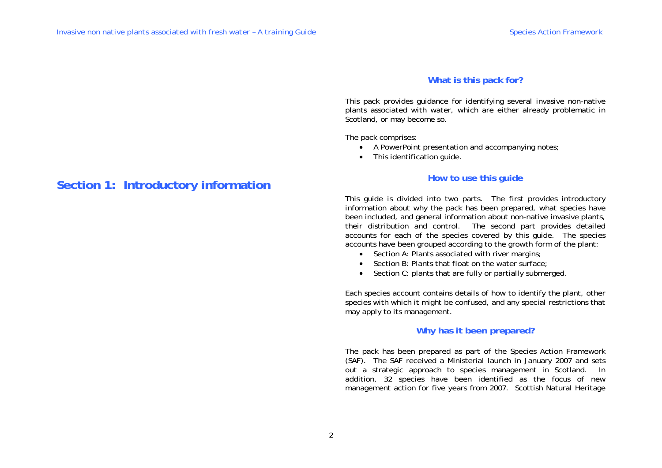# **What is this pack for?**

This pack provides guidance for identifying several invasive non-native plants associated with water, which are either already problematic in Scotland, or may become so.

The pack comprises:

- A PowerPoint presentation and accompanying notes;
- This identification guide.

# **How to use this guide**

This guide is divided into two parts. The first provides introductory information about why the pack has been prepared, what species have been included, and general information about non-native invasive plants, their distribution and control. The second part provides detailed accounts for each of the species covered by this guide. The species accounts have been grouped according to the growth form of the plant:

- Section A: Plants associated with river margins;
- Section B: Plants that float on the water surface;
- Section C: plants that are fully or partially submerged.

Each species account contains details of how to identify the plant, other species with which it might be confused, and any special restrictions that may apply to its management.

# **Why has it been prepared?**

The pack has been prepared as part of the Species Action Framework (SAF). The SAF received a Ministerial launch in January 2007 and sets out a strategic approach to species management in Scotland. In addition, 32 species have been identified as the focus of new management action for five years from 2007. Scottish Natural Heritage

# **Section 1: Introductory information**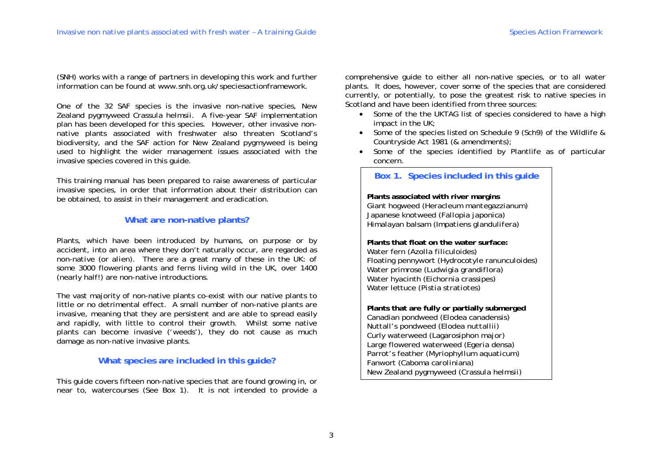(SNH) works with a range of partners in developing this work and further information can be found at www.snh.org.uk/speciesactionframework.

One of the 32 SAF species is the invasive non-native species, New Zealand pygmyweed *Crassula helmsii*. A five-year SAF implementation plan has been developed for this species. However, other invasive nonnative plants associated with freshwater also threaten Scotland's biodiversity, and the SAF action for New Zealand pygmyweed is being used to highlight the wider management issues associated with the invasive species covered in this guide.

This training manual has been prepared to raise awareness of particular invasive species, in order that information about their distribution can be obtained, to assist in their management and eradication.

# **What are non-native plants?**

Plants, which have been introduced by humans, on purpose or by accident, into an area where they don't naturally occur, are regarded as *non-native* (or *alien*). There are a great many of these in the UK: of some 3000 flowering plants and ferns living wild in the UK, over 1400 (nearly half!) are non-native introductions.

The vast majority of non-native plants co-exist with our native plants to little or no detrimental effect. A small number of non-native plants are *invasive*, meaning that they are persistent and are able to spread easily and rapidly, with little to control their growth. Whilst some native plants can become invasive ('weeds'), they do not cause as much damage as non-native invasive plants.

# **What species are included in this guide?**

This guide covers fifteen non-native species that are found growing in, or near to, watercourses (See Box 1). It is not intended to provide a comprehensive guide to either all non-native species, or to all water plants. It does, however, cover some of the species that are considered currently, or potentially, to pose the greatest risk to native species in Scotland and have been identified from three sources:

- Some of the the UKTAG list of species considered to have a high impact in the UK;
- Some of the species listed on Schedule 9 (Sch9) of the Wildlife & Countryside Act 1981 (& amendments);
- Some of the species identified by Plantlife as of particular concern.

# **Box 1. Species included in this guide**

**Plants associated with river margins**  Giant hogweed (*Heracleum mantegazzianum*) Japanese knotweed (*Fallopia japonica*) Himalayan balsam (*Impatiens glandulifera*)

**Plants that float on the water surface:**  Water fern (*Azolla filiculoides*) Floating pennywort (*Hydrocotyle ranunculoides*) Water primrose (*Ludwigia grandiflora*) Water hyacinth (*Eichornia crassipes*) Water lettuce (*Pistia stratiotes*)

**Plants that are fully or partially submerged**  Canadian pondweed (*Elodea canadensis*) Nuttall's pondweed (*Elodea nuttallii*) Curly waterweed (*Lagarosiphon major*) Large flowered waterweed (*Egeria densa*) Parrot's feather (*Myriophyllum aquaticum*) Fanwort (*Caboma caroliniana*) New Zealand pygmyweed (*Crassula helmsii*)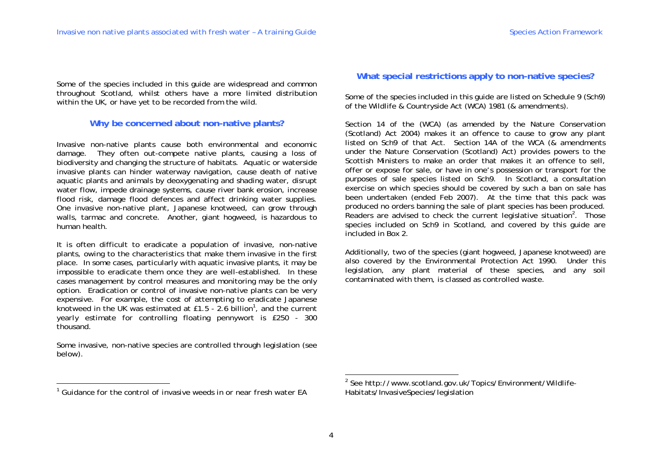Some of the species included in this guide are widespread and common throughout Scotland, whilst others have a more limited distribution within the UK, or have yet to be recorded from the wild.

# **Why be concerned about non-native plants?**

Invasive non-native plants cause both environmental and economic damage. They often out-compete native plants, causing a loss of biodiversity and changing the structure of habitats. Aquatic or waterside invasive plants can hinder waterway navigation, cause death of native aquatic plants and animals by deoxygenating and shading water, disrupt water flow, impede drainage systems, cause river bank erosion, increase flood risk, damage flood defences and affect drinking water supplies. One invasive non-native plant, Japanese knotweed, can grow through walls, tarmac and concrete. Another, giant hogweed, is hazardous to human health.

It is often difficult to eradicate a population of invasive, non-native plants, owing to the characteristics that make them invasive in the first place. In some cases, particularly with aquatic invasive plants, it may be impossible to eradicate them once they are well-established. In these cases management by control measures and monitoring may be the only option. Eradication or control of invasive non-native plants can be very expensive. For example, the cost of attempting to eradicate Japanese knotweed in the UK was estimated at £1.5 - 2.6 billion<sup>1</sup>, and the current *yearly* estimate for controlling floating pennywort is £250 - 300 thousand.

Some invasive, non-native species are controlled through legislation (see below).

# **What special restrictions apply to non-native species?**

Some of the species included in this guide are listed on Schedule 9 (Sch9) of the Wildlife & Countryside Act (WCA) 1981 (& amendments).

Section 14 of the (WCA) (as amended by the Nature Conservation (Scotland) Act 2004) makes it an offence to cause to grow any plant listed on Sch9 of that Act. Section 14A of the WCA (& amendments under the Nature Conservation (Scotland) Act) provides powers to the Scottish Ministers to make an order that makes it an offence to sell, offer or expose for sale, or have in one's possession or transport for the purposes of sale species listed on Sch9. In Scotland, a consultation exercise on which species should be covered by such a ban on sale has been undertaken (ended Feb 2007). At the time that this pack was produced no orders banning the sale of plant species has been produced. Readers are advised to check the current legislative situation<sup>2</sup>. Those species included on Sch9 in Scotland, and covered by this guide are included in Box 2.

Additionally, two of the species (giant hogweed, Japanese knotweed) are also covered by the Environmental Protection Act 1990. Under this legislation, any plant material of these species, and any soil contaminated with them, is classed as controlled waste.

<sup>&</sup>lt;sup>1</sup> Guidance for the control of invasive weeds in or near fresh water <code>FA</code>

<sup>2</sup> See http://www.scotland.gov.uk/Topics/Environment/Wildlife-Habitats/InvasiveSpecies/legislation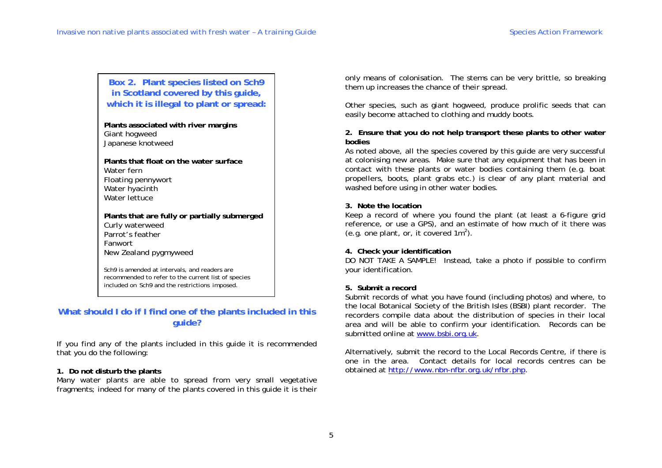**Box 2. Plant species listed on Sch9 in Scotland covered by this guide, which it is illegal to plant or spread:** 

**Plants associated with river margins**  Giant hogweed Japanese knotweed

**Plants that float on the water surface** Water fern Floating pennywort Water hyacinth Water lettuce

**Plants that are fully or partially submerged**  Curly waterweed Parrot's feather Fanwort New Zealand pygmyweed

Sch9 is amended at intervals, and readers are recommended to refer to the current list of species included on Sch9 and the restrictions imposed.

# **What should I do if I find one of the plants included in this guide?**

If you find any of the plants included in this guide it is recommended that you do the following:

# **1. Do not disturb the plants**

Many water plants are able to spread from very small vegetative fragments; indeed for many of the plants covered in this guide it is their only means of colonisation. The stems can be very brittle, so breaking them up increases the chance of their spread.

Other species, such as giant hogweed, produce prolific seeds that can easily become attached to clothing and muddy boots.

## **2. Ensure that you do not help transport these plants to other water bodies**

As noted above, all the species covered by this guide are very successful at colonising new areas. Make sure that any equipment that has been in contact with these plants or water bodies containing them (e.g. boat propellers, boots, plant grabs etc.) is clear of any plant material and washed before using in other water bodies.

## **3. Note the location**

Keep a record of where you found the plant (at least a 6-figure grid reference, or use a GPS), and an estimate of how much of it there was (e.g. one plant, or, it covered  $1m^2$ ).

# **4. Check your identification**

DO NOT TAKE A SAMPLE! Instead, take a photo if possible to confirm your identification.

# **5. Submit a record**

Submit records of what you have found (including photos) and where, to the local Botanical Society of the British Isles (BSBI) plant recorder. The recorders compile data about the distribution of species in their local area and will be able to confirm your identification. Records can be submitted online at www.bsbi.org.uk.

Alternatively, submit the record to the Local Records Centre, if there is one in the area. Contact details for local records centres can be obtained at http://www.nbn-nfbr.org.uk/nfbr.php.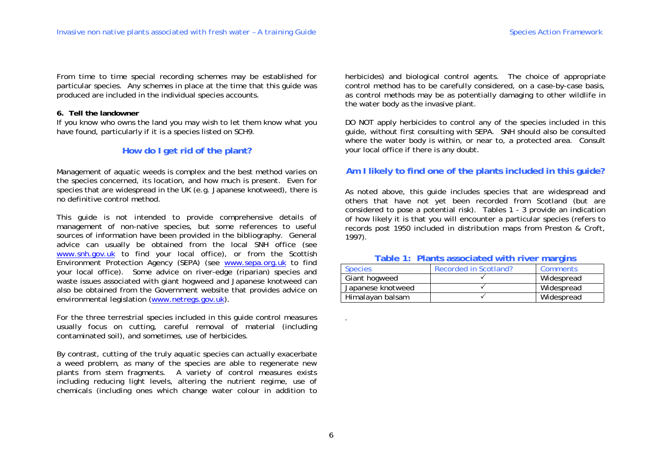From time to time special recording schemes may be established for particular species. Any schemes in place at the time that this guide was produced are included in the individual species accounts.

#### **6. Tell the landowner**

If you know who owns the land you may wish to let them know what you have found, particularly if it is a species listed on SCH9.

# **How do I get rid of the plant?**

Management of aquatic weeds is complex and the best method varies on the species concerned, its location, and how much is present. Even for species that are widespread in the UK (e.g. Japanese knotweed), there is no definitive control method.

This guide is not intended to provide comprehensive details of management of non-native species, but some references to useful sources of information have been provided in the bibliography. General advice can usually be obtained from the local SNH office (see www.snh.gov.uk to find your local office), or from the Scottish Environment Protection Agency (SEPA) (see www.sepa.org.uk to find your local office). Some advice on river-edge (riparian) species and waste issues associated with giant hogweed and Japanese knotweed can also be obtained from the Government website that provides advice on environmental legislation (www.netregs.gov.uk).

For the three terrestrial species included in this guide control measures usually focus on cutting, careful removal of material (including contaminated soil), and sometimes, use of herbicides.

By contrast, cutting of the truly aquatic species can actually exacerbate a weed problem, as many of the species are able to regenerate new plants from stem fragments. A variety of control measures exists including reducing light levels, altering the nutrient regime, use of chemicals (including ones which change water colour in addition to

herbicides) and biological control agents. The choice of appropriate control method has to be carefully considered, on a case-by-case basis, as control methods may be as potentially damaging to other wildlife in the water body as the invasive plant.

DO NOT apply herbicides to control any of the species included in this guide, without first consulting with SEPA. SNH should also be consulted where the water body is within, or near to, a protected area. Consult your local office if there is any doubt.

# **Am I likely to find one of the plants included in this guide?**

As noted above, this guide includes species that are widespread and others that have not yet been recorded from Scotland (but are considered to pose a potential risk). Tables 1 - 3 provide an indication of how likely it is that you will encounter a particular species (refers to records post 1950 included in distribution maps from Preston & Croft, 1997).

## **Table 1: Plants associated with river margins**

| <b>Species</b>    | Recorded in Scotland? | Comments   |
|-------------------|-----------------------|------------|
| Giant hogweed     |                       | Widespread |
| Japanese knotweed |                       | Widespread |
| Himalayan balsam  |                       | Widespread |

.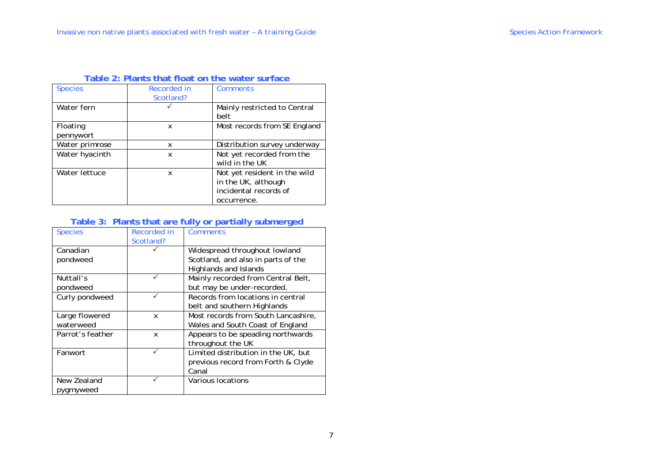| <b>Species</b>        | Recorded in<br>Scotland? | Comments                                                                                    |
|-----------------------|--------------------------|---------------------------------------------------------------------------------------------|
| Water fern            |                          | Mainly restricted to Central<br>belt                                                        |
| Floating<br>pennywort | x                        | Most records from SE England                                                                |
| Water primrose        | x                        | Distribution survey underway                                                                |
| Water hyacinth        | x                        | Not yet recorded from the<br>wild in the UK                                                 |
| Water lettuce         | x                        | Not yet resident in the wild<br>in the UK, although<br>incidental records of<br>occurrence. |

# **Table 2: Plants that float on the water surface**

# **Table 3: Plants that are fully or partially submerged**

| <b>Species</b>   | Recorded in | <b>Comments</b>                     |
|------------------|-------------|-------------------------------------|
|                  | Scotland?   |                                     |
| Canadian         |             | Widespread throughout lowland       |
| pondweed         |             | Scotland, and also in parts of the  |
|                  |             | Highlands and Islands               |
| Nuttall's        |             | Mainly recorded from Central Belt,  |
| pondweed         |             | but may be under-recorded.          |
| Curly pondweed   |             | Records from locations in central   |
|                  |             | belt and southern Highlands         |
| Large flowered   | X           | Most records from South Lancashire, |
| waterweed        |             | Wales and South Coast of England    |
| Parrot's feather | X           | Appears to be speading northwards   |
|                  |             | throughout the UK                   |
| Fanwort          |             | Limited distribution in the UK, but |
|                  |             | previous record from Forth & Clyde  |
|                  |             | Canal                               |
| New Zealand      |             | Various locations                   |
| pygmyweed        |             |                                     |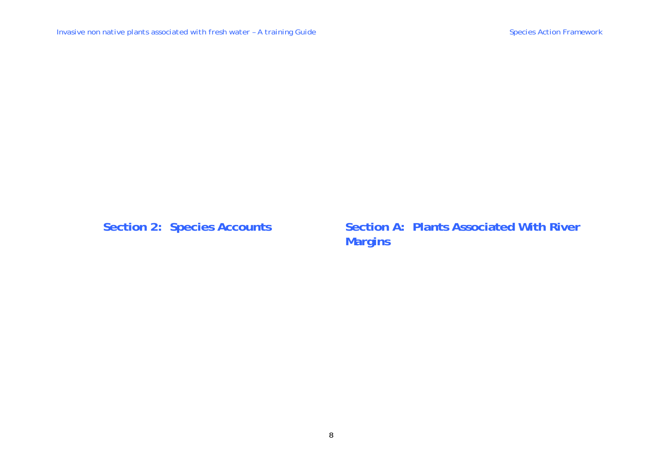Section 2: Species Accounts **Section A: Plants Associated With River Margins**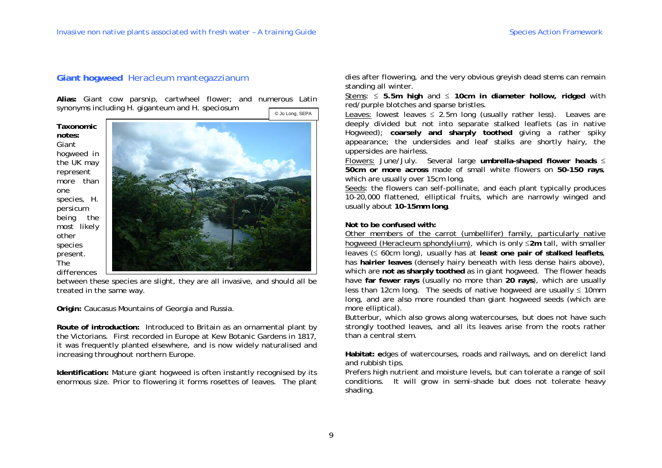# **Giant hogweed** *Heracleum mantegazzianum*

**Alias:** Giant cow parsnip, cartwheel flower; and numerous Latin synonyms including *H. giganteum* and *H. speciosum* 

© Jo Long, SEPA

**Taxonomic notes:** Giant hogweed in the UK may represent more than one species, *H. persicum* being the most likely other species present. The differences



between these species are slight, they are all invasive, and should all be treated in the same way.

#### **Origin:** Caucasus Mountains of Georgia and Russia.

**Route of introduction:** Introduced to Britain as an ornamental plant by the Victorians. First recorded in Europe at Kew Botanic Gardens in 1817, it was frequently planted elsewhere, and is now widely naturalised and increasing throughout northern Europe.

**Identification:** Mature giant hogweed is often instantly recognised by its enormous size. Prior to flowering it forms rosettes of leaves. The plant dies after flowering, and the very obvious greyish dead stems can remain standing all winter.

Stems:  $\leq$  5.5m high and  $\leq$  10cm in diameter hollow, ridged with red/purple blotches and sparse bristles.

Leaves: lowest leaves  $\leq$  2.5m long (usually rather less). Leaves are deeply divided but not into separate stalked leaflets (as in native Hogweed); **coarsely and sharply toothed** giving a rather spiky appearance; the undersides and leaf stalks are shortly hairy, the uppersides are hairless.

Flowers: June/July. Several large **umbrella-shaped flower heads 50cm or more across** made of small white flowers on **50-150 rays**, which are usually over 15cm long.

Seeds: the flowers can self-pollinate, and each plant typically produces 10-20,000 flattened, elliptical fruits, which are narrowly winged and usually about **10-15mm long**.

#### **Not to be confused with:**

Other members of the carrot (umbellifer) family, particularly native hogweed (*Heracleum sphondylium*), which is only **2m** tall, with smaller leaves  $(\leq 60$ cm long), usually has at least one pair of stalked leaflets, has **hairier leaves** (densely hairy beneath with less dense hairs above), which are **not as sharply toothed** as in giant hogweed. The flower heads have **far fewer rays** (usually no more than **20 rays**), which are usually less than 12cm long. The seeds of native hogweed are usually  $\leq$  10mm long, and are also more rounded than giant hogweed seeds (which are more elliptical).

Butterbur, which also grows along watercourses, but does not have such strongly toothed leaves, and all its leaves arise from the roots rather than a central stem.

**Habitat: e**dges of watercourses, roads and railways, and on derelict land and rubbish tips.

Prefers high nutrient and moisture levels, but can tolerate a range of soil conditions. It will grow in semi-shade but does not tolerate heavy shading.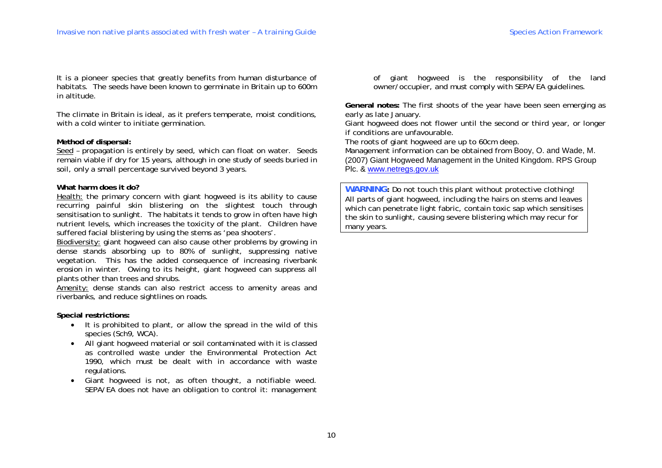It is a pioneer species that greatly benefits from human disturbance of habitats. The seeds have been known to germinate in Britain up to 600m in altitude.

The climate in Britain is ideal, as it prefers temperate, moist conditions, with a cold winter to initiate germination.

#### **Method of dispersal:**

Seed – propagation is entirely by seed, which can float on water. Seeds remain viable if dry for 15 years, although in one study of seeds buried in soil, only a small percentage survived beyond 3 years.

#### **What harm does it do?**

Health: the primary concern with giant hogweed is its ability to cause recurring painful skin blistering on the slightest touch through sensitisation to sunlight. The habitats it tends to grow in often have high nutrient levels, which increases the toxicity of the plant. Children have suffered facial blistering by using the stems as 'pea shooters'.

Biodiversity: giant hogweed can also cause other problems by growing in dense stands absorbing up to 80% of sunlight, suppressing native vegetation. This has the added consequence of increasing riverbank erosion in winter. Owing to its height, giant hogweed can suppress all plants other than trees and shrubs.

Amenity: dense stands can also restrict access to amenity areas and riverbanks, and reduce sightlines on roads.

#### **Special restrictions:**

- It is prohibited to plant, or allow the spread in the wild of this species (Sch9, WCA).
- All giant hogweed material or soil contaminated with it is classed as controlled waste under the Environmental Protection Act 1990, which must be dealt with in accordance with waste regulations.
- Giant hogweed is *not*, as often thought, a notifiable weed. SEPA/EA does not have an obligation to control it: management

of giant hogweed is the responsibility of the land owner/occupier, and must comply with SEPA/EA guidelines.

**General notes:** The first shoots of the year have been seen emerging as early as late January.

Giant hogweed does not flower until the second or third year, or longer if conditions are unfavourable.

The roots of giant hogweed are up to 60cm deep.

Management information can be obtained from Booy, O. and Wade, M. (2007) Giant Hogweed Management in the United Kingdom. RPS Group Plc. & www.netregs.gov.uk

**WARNING:** Do not touch this plant without protective clothing! All parts of giant hogweed, including the hairs on stems and leaves which can penetrate light fabric, contain toxic sap which sensitises the skin to sunlight, causing severe blistering which may recur for many years.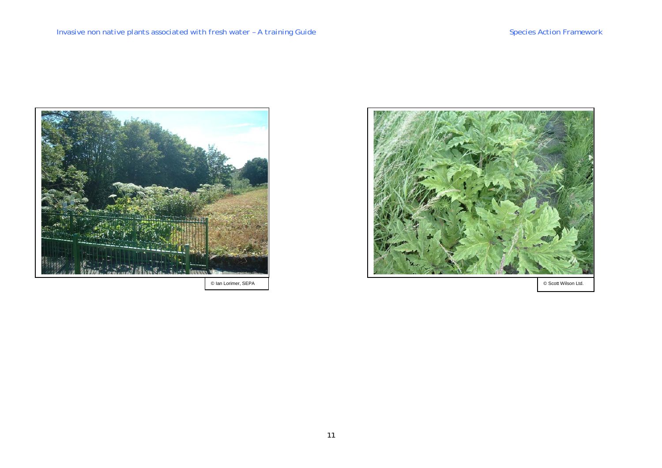

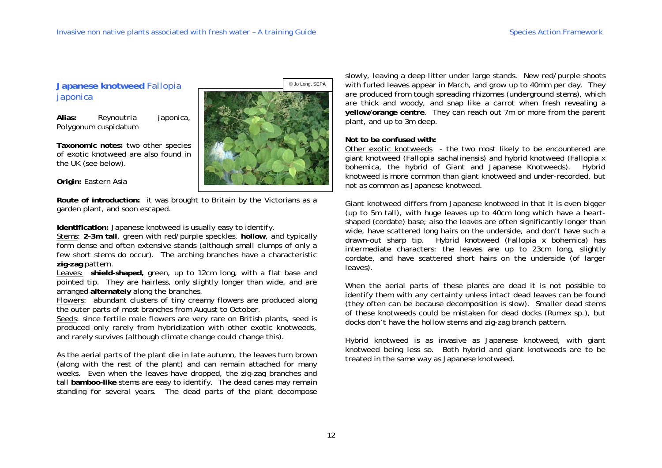# **Japanese knotweed** *Fallopia japonica*

**Alias:** *Reynoutria japonica, Polygonum cuspidatum* 

**Taxonomic notes:** two other species of exotic knotweed are also found in the UK (see below).

#### **Origin:** Eastern Asia

**Route of introduction:** it was brought to Britain by the Victorians as a garden plant, and soon escaped.

**Identification:** Japanese knotweed is usually easy to identify.

Stems: **2-3m tall**, green with red/purple speckles, **hollow**, and typically form dense and often extensive stands (although small clumps of only a few short stems do occur). The arching branches have a characteristic **zig-zag** pattern.

Leaves: **shield-shaped,** green, up to 12cm long, with a flat base and pointed tip. They are hairless, only slightly longer than wide, and are arranged **alternately** along the branches.

Flowers: abundant clusters of tiny creamy flowers are produced along the outer parts of most branches from August to October.

Seeds: since fertile male flowers are very rare on British plants, seed is produced only rarely from hybridization with other exotic knotweeds, and rarely survives (although climate change could change this).

As the aerial parts of the plant die in late autumn, the leaves turn brown (along with the rest of the plant) and can remain attached for many weeks. Even when the leaves have dropped, the zig-zag branches and tall **bamboo-like** stems are easy to identify. The dead canes may remain standing for several years. The dead parts of the plant decompose

slowly, leaving a deep litter under large stands. New red/purple shoots with furled leaves appear in March, and grow up to 40mm per day. They are produced from tough spreading rhizomes (underground stems), which are thick and woody, and snap like a carrot when fresh revealing a **yellow/orange centre**. They can reach out 7m or more from the parent plant, and up to 3m deep.

#### **Not to be confused with:**

Other exotic knotweeds - the two most likely to be encountered are giant knotweed (*Fallopia sachalinensis*) and hybrid knotweed (*Fallopia x bohemica*, the hybrid of Giant and Japanese Knotweeds). Hybrid knotweed is more common than giant knotweed and under-recorded, but not as common as Japanese knotweed.

Giant knotweed differs from Japanese knotweed in that it is even bigger (up to 5m tall), with huge leaves up to 40cm long which have a heartshaped (cordate) base; also the leaves are often significantly longer than wide, have scattered long hairs on the underside, and don't have such a drawn-out sharp tip. Hybrid knotweed (*Fallopia x bohemica*) has intermediate characters: the leaves are up to 23cm long, slightly cordate, and have scattered short hairs on the underside (of larger leaves).

When the aerial parts of these plants are dead it is not possible to identify them with any certainty unless intact dead leaves can be found (they often can be because decomposition is slow). Smaller dead stems of these knotweeds could be mistaken for dead docks (*Rumex* sp*.*), but docks don't have the hollow stems and zig-zag branch pattern.

Hybrid knotweed is as invasive as Japanese knotweed, with giant knotweed being less so. Both hybrid and giant knotweeds are to be treated in the same way as Japanese knotweed.

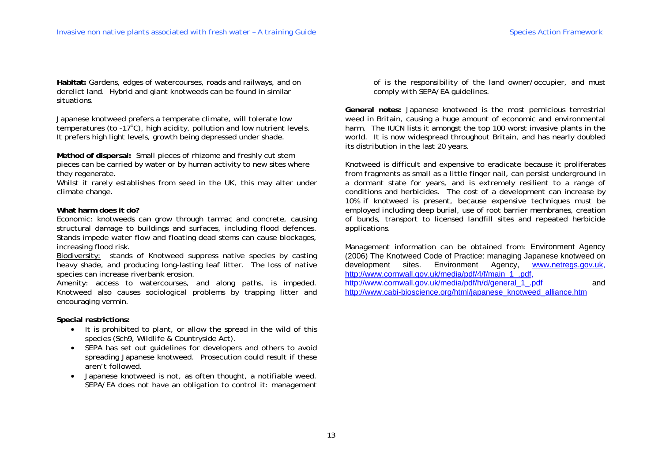**Habitat:** Gardens, edges of watercourses, roads and railways, and on derelict land. Hybrid and giant knotweeds can be found in similar situations.

Japanese knotweed prefers a temperate climate, will tolerate low temperatures (to -17 $^{\circ}$ C), high acidity, pollution and low nutrient levels. It prefers high light levels, growth being depressed under shade.

**Method of dispersal:** Small pieces of rhizome and freshly cut stem pieces can be carried by water or by human activity to new sites where they regenerate.

Whilst it rarely establishes from seed in the UK, this may alter under climate change.

#### **What harm does it do?**

Economic: knotweeds can grow through tarmac and concrete, causing structural damage to buildings and surfaces, including flood defences. Stands impede water flow and floating dead stems can cause blockages, increasing flood risk.

Biodiversity: stands of Knotweed suppress native species by casting heavy shade, and producing long-lasting leaf litter. The loss of native species can increase riverbank erosion.

Amenity: access to watercourses, and along paths, is impeded. Knotweed also causes sociological problems by trapping litter and encouraging vermin.

**Special restrictions:** 

- It is prohibited to plant, or allow the spread in the wild of this species (Sch9, Wildlife & Countryside Act).
- SEPA has set out guidelines for developers and others to avoid spreading Japanese knotweed. Prosecution could result if these aren't followed.
- Japanese knotweed is *not*, as often thought, a notifiable weed. SEPA/EA does not have an obligation to control it: management

of is the responsibility of the land owner/occupier, and must comply with SEPA/EA guidelines.

**General notes:** Japanese knotweed is the most pernicious terrestrial weed in Britain, causing a huge amount of economic and environmental harm. The IUCN lists it amongst the top 100 worst invasive plants in the world. It is now widespread throughout Britain, and has nearly doubled its distribution in the last 20 years.

Knotweed is difficult and expensive to eradicate because it proliferates from fragments as small as a little finger nail, can persist underground in a dormant state for years, and is extremely resilient to a range of conditions and herbicides. The cost of a development can increase by 10% if knotweed is present, because expensive techniques must be employed including deep burial, use of root barrier membranes, creation of bunds, transport to licensed landfill sites and repeated herbicide applications.

Management information can be obtained from: Environment Agency (2006) The Knotweed Code of Practice: managing Japanese knotweed on development sites. Environment Agency, www.netregs.gov.uk, http://www.cornwall.gov.uk/media/pdf/4/f/main\_1\_.pdf. http://www.cornwall.gov.uk/media/pdf/h/d/general\_1\_.pdf and http://www.cabi-bioscience.org/html/japanese\_knotweed\_alliance.htm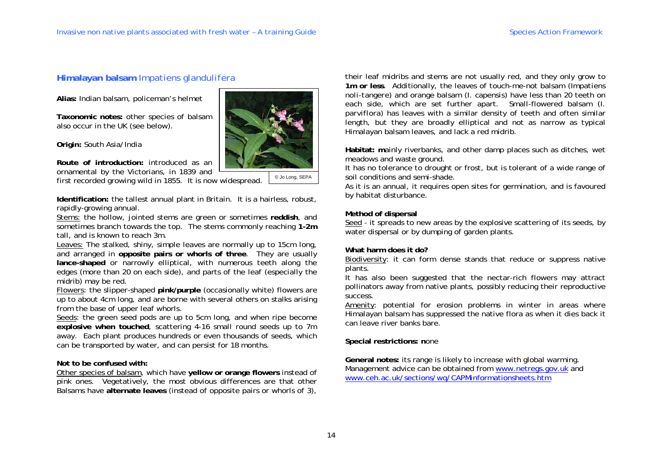# **Himalayan balsam** *Impatiens glandulifera*

**Alias:** Indian balsam, policeman's helmet

**Taxonomic notes:** other species of balsam also occur in the UK (see below).

**Origin:** South Asia/India

**Route of introduction:** introduced as an ornamental by the Victorians, in 1839 and first recorded growing wild in 1855. It is now widespread.

© Jo Long, SEPA

**Identification:** the tallest annual plant in Britain. It is a hairless, robust, rapidly-growing annual.

Stems: the hollow, jointed stems are green or sometimes **reddish**, and sometimes branch towards the top. The stems commonly reaching **1-2m** tall, and is known to reach 3m.

Leaves: The stalked, shiny, simple leaves are normally up to 15cm long, and arranged in **opposite pairs or whorls of three**. They are usually **lance-shaped** or narrowly elliptical, with numerous teeth along the edges (more than 20 on each side), and parts of the leaf (especially the midrib) may be red.

Flowers: the slipper-shaped **pink/purple** (occasionally white) flowers are up to about 4cm long, and are borne with several others on stalks arising from the base of upper leaf whorls.

Seeds: the green seed pods are up to 5cm long, and when ripe become **explosive when touched**, scattering 4-16 small round seeds up to 7m away. Each plant produces hundreds or even thousands of seeds, which can be transported by water, and can persist for 18 months.

# **Not to be confused with:**

Other species of balsam, which have **yellow or orange flowers** instead of pink ones. Vegetatively, the most obvious differences are that other Balsams have **alternate leaves** (instead of opposite pairs or whorls of 3),

their leaf midribs and stems are not usually red, and they only grow to **1m or less**. Additionally, the leaves of touch-me-not balsam (*Impatiens noli-tangere*) and orange balsam (*I. capensis*) have less than 20 teeth on each side, which are set further apart. Small-flowered balsam (*I. parviflora*) has leaves with a similar density of teeth and often similar length, but they are broadly elliptical and not as narrow as typical Himalayan balsam leaves, and lack a red midrib.

**Habitat: m**ainly riverbanks, and other damp places such as ditches, wet meadows and waste ground.

It has no tolerance to drought or frost, but is tolerant of a wide range of soil conditions and semi-shade.

As it is an annual, it requires open sites for germination, and is favoured by habitat disturbance.

#### **Method of dispersal**

Seed - it spreads to new areas by the explosive scattering of its seeds, by water dispersal or by dumping of garden plants.

#### **What harm does it do?**

Biodiversity: it can form dense stands that reduce or suppress native plants.

It has also been suggested that the nectar-rich flowers may attract pollinators away from native plants, possibly reducing their reproductive success.

Amenity: potential for erosion problems in winter in areas where Himalayan balsam has suppressed the native flora as when it dies back it can leave river banks bare.

**Special restrictions: n**one

**General notes:** its range is likely to increase with global warming. Management advice can be obtained from www.netregs.gov.uk and www.ceh.ac.uk/sections/wq/CAPMinformationsheets.htm

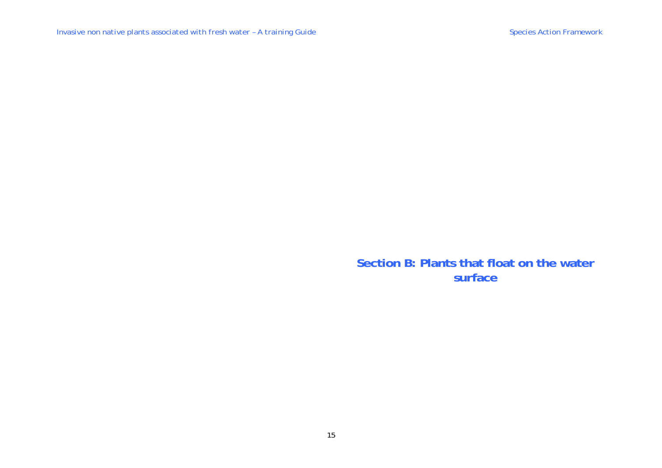**Section B: Plants that float on the water surface**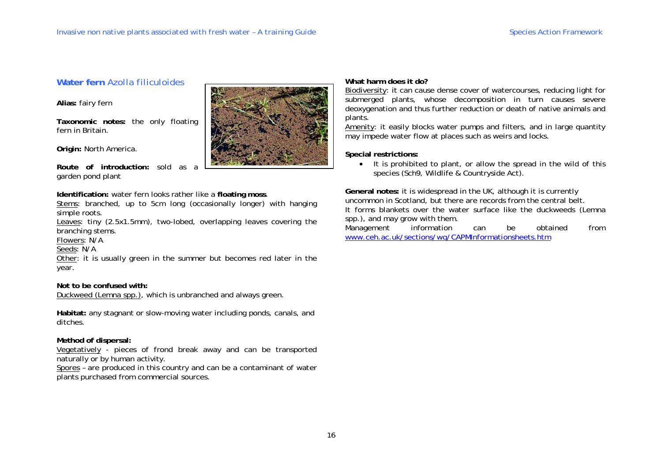# **Water fern** *Azolla filiculoides*

**Alias:** fairy fern

**Taxonomic notes:** the only floating fern in Britain.

**Origin:** North America.

**Route of introduction:** sold as a garden pond plant

**Identification:** water fern looks rather like a **floating moss**.

Stems: branched, up to 5cm long (occasionally longer) with hanging simple roots.

Leaves: tiny (2.5x1.5mm), two-lobed, overlapping leaves covering the branching stems.

Flowers: N/A

Seeds: N/A

Other: it is usually green in the summer but becomes red later in the year.

# **Not to be confused with:**

Duckweed (*Lemna* spp.), which is unbranched and always green.

**Habitat:** any stagnant or slow-moving water including ponds, canals, and ditches.

# **Method of dispersal:**

Vegetatively - pieces of frond break away and can be transported naturally or by human activity.

Spores – are produced in this country and can be a contaminant of water plants purchased from commercial sources.



# **What harm does it do?**

Biodiversity: it can cause dense cover of watercourses, reducing light for submerged plants, whose decomposition in turn causes severe deoxygenation and thus further reduction or death of native animals and plants.

Amenity: it easily blocks water pumps and filters, and in large quantity may impede water flow at places such as weirs and locks.

**Special restrictions:** 

• It is prohibited to plant, or allow the spread in the wild of this species (Sch9, Wildlife & Countryside Act).

**General notes:** it is widespread in the UK, although it is currently uncommon in Scotland, but there are records from the central belt. It forms blankets over the water surface like the duckweeds (*Lemna*  spp.), and may grow with them.

Management information can be obtained from www.ceh.ac.uk/sections/wq/CAPMInformationsheets.htm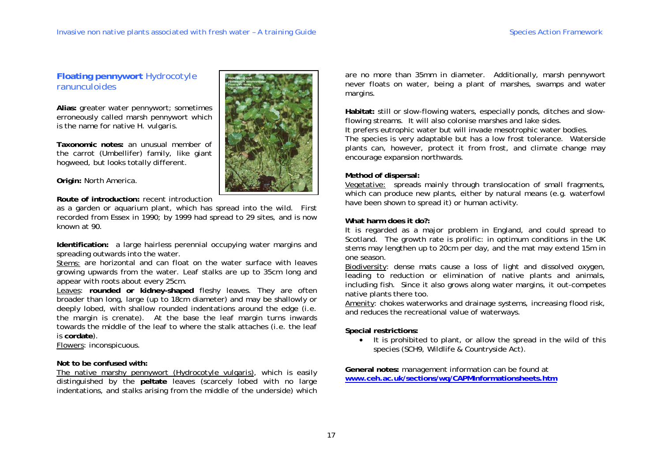# **Floating pennywort** *Hydrocotyle ranunculoides*

**Alias:** greater water pennywort; sometimes erroneously called marsh pennywort which is the name for native *H. vulgaris*.

**Taxonomic notes:** an unusual member of the carrot (Umbellifer) family, like giant hogweed, but looks totally different.

**Origin:** North America.

# **Route of introduction:** recent introduction

as a garden or aquarium plant, which has spread into the wild. First recorded from Essex in 1990; by 1999 had spread to 29 sites, and is now known at 90.

**Identification:** a large hairless perennial occupying water margins and spreading outwards into the water.

Stems: are horizontal and can float on the water surface with leaves growing upwards from the water. Leaf stalks are up to 35cm long and appear with roots about every 25cm.

Leaves: **rounded or kidney-shaped** fleshy leaves. They are often broader than long, large (up to 18cm diameter) and may be shallowly or deeply lobed, with shallow rounded indentations around the edge (i.e. the margin is crenate). At the base the leaf margin turns inwards towards the middle of the leaf to where the stalk attaches (i.e. the leaf is **cordate**).

Flowers: inconspicuous.

# **Not to be confused with:**

The native marshy pennywort (*Hydrocotyle vulgaris*), which is easily distinguished by the **peltate** leaves (scarcely lobed with no large indentations, and stalks arising from the middle of the underside) which



are no more than 35mm in diameter. Additionally, marsh pennywort never floats on water, being a plant of marshes, swamps and water margins.

**Habitat:** still or slow-flowing waters, especially ponds, ditches and slowflowing streams. It will also colonise marshes and lake sides. It prefers eutrophic water but will invade mesotrophic water bodies. The species is very adaptable but has a low frost tolerance. Waterside plants can, however, protect it from frost, and climate change may encourage expansion northwards.

# **Method of dispersal:**

Vegetative: spreads mainly through translocation of small fragments, which can produce new plants, either by natural means (e.g. waterfowl have been shown to spread it) or human activity.

# **What harm does it do?:**

It is regarded as a major problem in England, and could spread to Scotland. The growth rate is prolific: in optimum conditions in the UK stems may lengthen up to 20cm per day, and the mat may extend 15m in one season.

Biodiversity: dense mats cause a loss of light and dissolved oxygen, leading to reduction or elimination of native plants and animals, including fish. Since it also grows along water margins, it out-competes native plants there too.

Amenity: chokes waterworks and drainage systems, increasing flood risk, and reduces the recreational value of waterways.

# **Special restrictions:**

• It is prohibited to plant, or allow the spread in the wild of this species (SCH9, Wildlife & Countryside Act).

**General notes:** management information can be found at **www.ceh.ac.uk/sections/wq/CAPMInformationsheets.htm**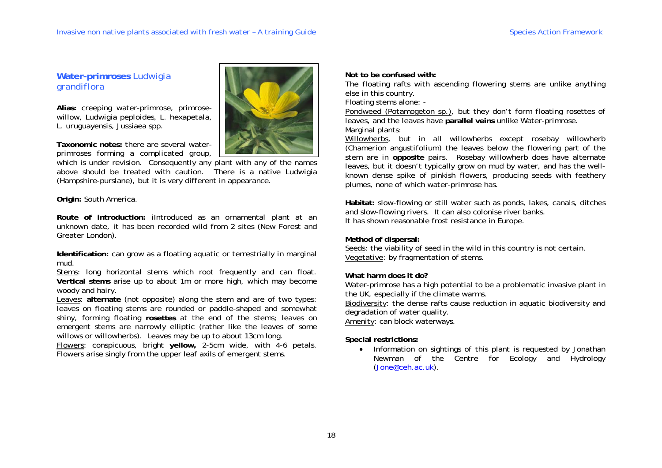# **Water-primroses** *Ludwigia grandiflora*

**Alias:** creeping water-primrose, primrosewillow, *Ludwigia peploides, L. hexapetala, L. uruguayensis, Jussiaea* spp.

**Taxonomic notes:** there are several waterprimroses forming a complicated group,

which is under revision. Consequently any plant with any of the names above should be treated with caution. There is a native *Ludwigia* (Hampshire-purslane), but it is very different in appearance.

**Origin:** South America.

**Route of introduction:** iIntroduced as an ornamental plant at an unknown date, it has been recorded wild from 2 sites (New Forest and Greater London).

**Identification:** can grow as a floating aquatic or terrestrially in marginal mud.

Stems: long horizontal stems which root frequently and can float. **Vertical stems** arise up to about 1m or more high, which may become woody and hairy.

Leaves: **alternate** (not opposite) along the stem and are of two types: leaves on floating stems are rounded or paddle-shaped and somewhat shiny, forming floating **rosettes** at the end of the stems; leaves on emergent stems are narrowly elliptic (rather like the leaves of some willows or willowherbs). Leaves may be up to about 13cm long.

Flowers: conspicuous, bright **yellow,** 2-5cm wide, with 4-6 petals. Flowers arise singly from the upper leaf axils of emergent stems.



**Not to be confused with:** 

The floating rafts with ascending flowering stems are unlike anything else in this country.

Floating stems alone: -

Pondweed (*Potamogeton* sp.), but they don't form floating rosettes of leaves, and the leaves have **parallel veins** unlike Water-primrose. Marginal plants:

Willowherbs, but in all willowherbs except rosebay willowherb (*Chamerion angustifolium*) the leaves below the flowering part of the stem are in **opposite** pairs. Rosebay willowherb does have alternate leaves, but it doesn't typically grow on mud by water, and has the wellknown dense spike of pinkish flowers, producing seeds with feathery plumes, none of which water-primrose has.

**Habitat:** slow-flowing or still water such as ponds, lakes, canals, ditches and slow-flowing rivers. It can also colonise river banks. It has shown reasonable frost resistance in Europe.

# **Method of dispersal:**

Seeds: the viability of seed in the wild in this country is not certain. Vegetative: by fragmentation of stems.

# **What harm does it do?**

Water-primrose has a high potential to be a problematic invasive plant in the UK, especially if the climate warms.

Biodiversity: the dense rafts cause reduction in aquatic biodiversity and degradation of water quality.

Amenity: can block waterways.

# **Special restrictions:**

• Information on sightings of this plant is requested by Jonathan Newman of the Centre for Ecology and Hydrology (Jone@ceh.ac.uk).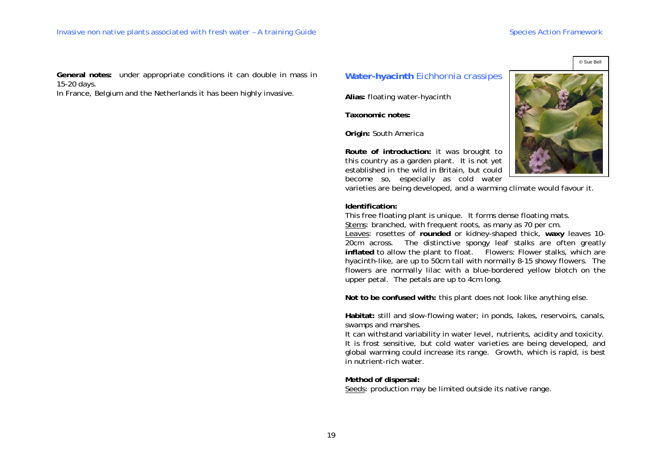© Sue Bell

**General notes:** under appropriate conditions it can double in mass in 15-20 days.

In France, Belgium and the Netherlands it has been highly invasive.

# **Water-hyacinth** *Eichhornia crassipes*

**Alias:** floating water-hyacinth

**Taxonomic notes:** 

**Origin:** South America

**Route of introduction:** it was brought to this country as a garden plant. It is not yet established in the wild in Britain, but could become so, especially as cold water

varieties are being developed, and a warming climate would favour it.

#### **Identification:**

This free floating plant is unique. It forms dense floating mats. Stems: branched, with frequent roots, as many as 70 per cm. Leaves: rosettes of **rounded** or kidney-shaped thick, **waxy** leaves 10- 20cm across. The distinctive spongy leaf stalks are often greatly inflated to allow the plant to float. Flowers: Flower stalks, which are hyacinth-like, are up to 50cm tall with normally 8-15 showy flowers. The flowers are normally lilac with a blue-bordered yellow blotch on the upper petal. The petals are up to 4cm long.

**Not to be confused with:** this plant does not look like anything else.

**Habitat:** still and slow-flowing water; in ponds, lakes, reservoirs, canals, swamps and marshes.

It can withstand variability in water level, nutrients, acidity and toxicity. It is frost sensitive, but cold water varieties are being developed, and global warming could increase its range. Growth, which is rapid, is best in nutrient-rich water.

**Method of dispersal:**

Seeds: production may be limited outside its native range.

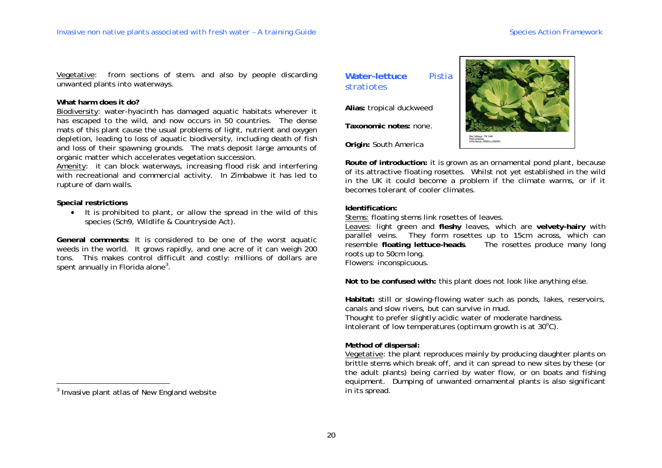Vegetative: from sections of stem. and also by people discarding unwanted plants into waterways.

#### **What harm does it do?**

Biodiversity: water-hyacinth has damaged aquatic habitats wherever it has escaped to the wild, and now occurs in 50 countries. The dense mats of this plant cause the usual problems of light, nutrient and oxygen depletion, leading to loss of aquatic biodiversity, including death of fish and loss of their spawning grounds. The mats deposit large amounts of organic matter which accelerates vegetation succession.

Amenity: it can block waterways, increasing flood risk and interfering with recreational and commercial activity. In Zimbabwe it has led to rupture of dam walls.

#### **Special restrictions**

• It is prohibited to plant, or allow the spread in the wild of this species (Sch9, Wildlife & Countryside Act).

**General comments**: It is considered to be one of the worst aquatic weeds in the world. It grows rapidly, and one acre of it can weigh 200 tons. This makes control difficult and costly: millions of dollars are spent annually in Florida alone<sup>3</sup>.

# **Water-lettuce** *Pistia stratiotes*

**Alias:** tropical duckweed

**Taxonomic notes:** none.

**Origin:** South America



**Route of introduction:** it is grown as an ornamental pond plant, because of its attractive floating rosettes. Whilst not yet established in the wild in the UK it could become a problem if the climate warms, or if it becomes tolerant of cooler climates.

## **Identification:**

Stems: floating stems link rosettes of leaves.

Leaves: light green and **fleshy** leaves, which are **velvety-hairy** with parallel veins. They form rosettes up to 15cm across, which can resemble **floating lettuce-heads**. The rosettes produce many long roots up to 50cm long. Flowers: inconspicuous.

**Not to be confused with:** this plant does not look like anything else.

**Habitat:** still or slowing-flowing water such as ponds, lakes, reservoirs, canals and slow rivers, but can survive in mud.

Thought to prefer slightly acidic water of moderate hardness. Intolerant of low temperatures (optimum growth is at  $30^{\circ}$ C).

# **Method of dispersal:**

Vegetative: the plant reproduces mainly by producing daughter plants on brittle stems which break off, and it can spread to new sites by these (or the adult plants) being carried by water flow, or on boats and fishing equipment. Dumping of unwanted ornamental plants is also significant in its spread.

<sup>&</sup>lt;sup>3</sup> Invasive plant atlas of New England website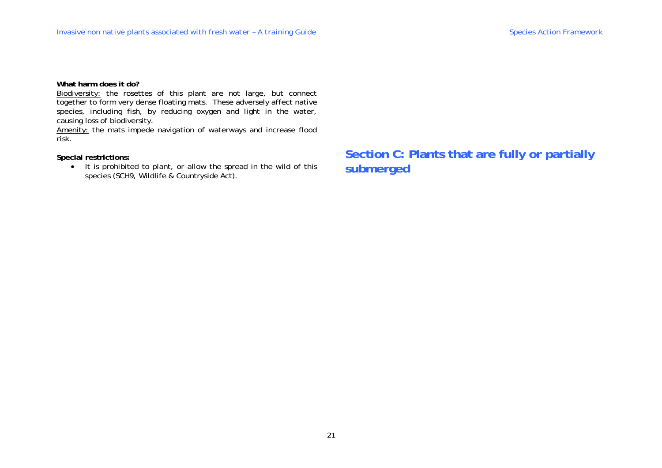**What harm does it do?** 

Biodiversity: the rosettes of this plant are not large, but connect together to form very dense floating mats. These adversely affect native species, including fish, by reducing oxygen and light in the water, causing loss of biodiversity.

Amenity: the mats impede navigation of waterways and increase flood risk.

**Special restrictions:** 

• It is prohibited to plant, or allow the spread in the wild of this species (SCH9, Wildlife & Countryside Act).

**Section C: Plants that are fully or partially submerged**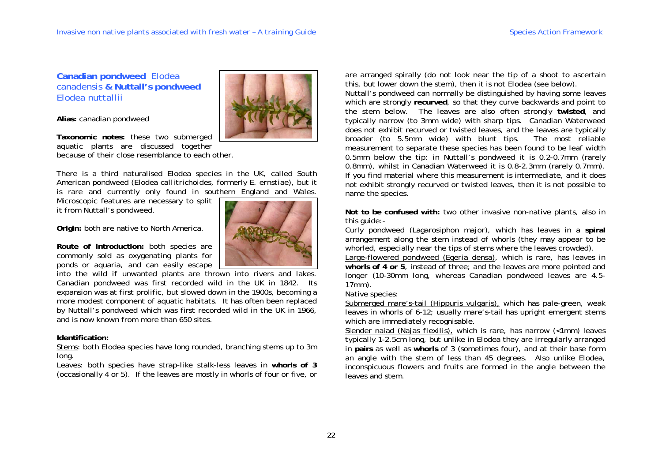**Canadian pondweed** *Elodea canadensis* **& Nuttall's pondweed**  *Elodea nuttallii*



**Taxonomic notes:** these two submerged aquatic plants are discussed together because of their close resemblance to each other.

There is a third naturalised *Elodea* species in the UK, called South American pondweed (*Elodea callitrichoides,* formerly *E. ernstiae*), but it is rare and currently only found in southern England and Wales.

Microscopic features are necessary to split it from Nuttall's pondweed.

**Origin:** both are native to North America.

**Route of introduction:** both species are commonly sold as oxygenating plants for ponds or aquaria, and can easily escape

into the wild if unwanted plants are thrown into rivers and lakes. Canadian pondweed was first recorded wild in the UK in 1842. Its expansion was at first prolific, but slowed down in the 1900s, becoming a more modest component of aquatic habitats. It has often been replaced by Nuttall's pondweed which was first recorded wild in the UK in 1966, and is now known from more than 650 sites.

# **Identification:**

Stems: both *Elodea* species have long rounded, branching stems up to 3m long.

Leaves: both species have strap-like stalk-less leaves in **whorls of 3** (occasionally 4 or 5). If the leaves are mostly in whorls of four or five, or



are arranged spirally (do not look near the tip of a shoot to ascertain this, but lower down the stem), then it is not *Elodea* (see below)*.* 

Nuttall's pondweed can normally be distinguished by having some leaves which are strongly **recurved**, so that they curve backwards and point to the stem below. The leaves are also often strongly **twisted**, and typically narrow (to 3mm wide) with sharp tips. Canadian Waterweed does not exhibit recurved or twisted leaves, and the leaves are typically broader (to 5.5mm wide) with blunt tips. The most reliable measurement to separate these species has been found to be leaf width 0.5mm below the tip: in Nuttall's pondweed it is 0.2-0.7mm (rarely 0.8mm), whilst in Canadian Waterweed it is 0.8-2.3mm (rarely 0.7mm). If you find material where this measurement is intermediate, and it does not exhibit strongly recurved or twisted leaves, then it is not possible to name the species.

**Not to be confused with:** two other invasive non-native plants, also in this guide:-

Curly pondweed (*Lagarosiphon major*), which has leaves in a **spiral**  arrangement along the stem instead of whorls (they may appear to be whorled, especially near the tips of stems where the leaves crowded).

Large-flowered pondweed (*Egeria densa*), which is rare, has leaves in **whorls of 4 or 5**, instead of three; and the leaves are more pointed and longer (10-30mm long, whereas Canadian pondweed leaves are 4.5- 17mm).

Native species:

Submerged mare's-tail (*Hippuris vulgaris*), which has pale-green, weak leaves in whorls of 6-12; usually mare's-tail has upright emergent stems which are immediately recognisable.

Slender naiad (*Najas flexilis*), which is rare, has narrow (<1mm) leaves typically 1-2.5cm long, but unlike in *Elodea* they are irregularly arranged in **pairs** as well as **whorls** of 3 (sometimes four), and at their base form an angle with the stem of less than 45 degrees. Also unlike *Elodea,*  inconspicuous flowers and fruits are formed in the angle between the leaves and stem.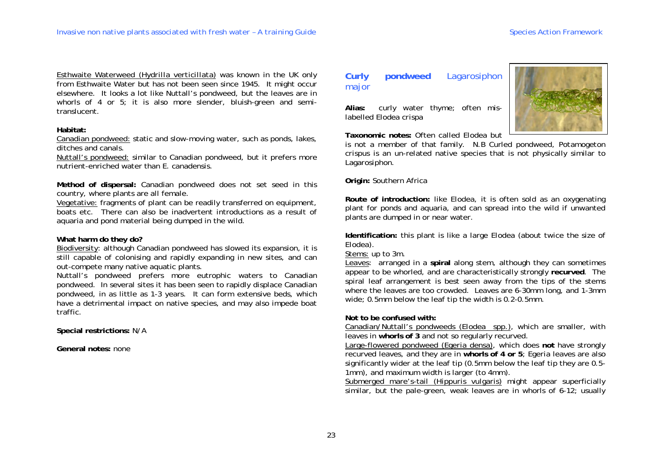Esthwaite Waterweed (*Hydrilla verticillata*) was known in the UK only from Esthwaite Water but has not been seen since 1945. It might occur elsewhere. It looks a lot like Nuttall's pondweed, but the leaves are in whorls of 4 or 5; it is also more slender, bluish-green and semitranslucent.

#### **Habitat:**

Canadian pondweed: static and slow-moving water, such as ponds, lakes, ditches and canals.

Nuttall's pondweed: similar to Canadian pondweed, but it prefers more nutrient-enriched water than *E. canadensis*.

**Method of dispersal:** Canadian pondweed does not set seed in this country, where plants are all female.

Vegetative: fragments of plant can be readily transferred on equipment, boats etc. There can also be inadvertent introductions as a result of aquaria and pond material being dumped in the wild.

#### **What harm do they do?**

Biodiversity: although Canadian pondweed has slowed its expansion, it is still capable of colonising and rapidly expanding in new sites, and can out-compete many native aquatic plants.

Nuttall's pondweed prefers more eutrophic waters to Canadian pondweed. In several sites it has been seen to rapidly displace Canadian pondweed, in as little as 1-3 years. It can form extensive beds, which have a detrimental impact on native species, and may also impede boat traffic.

**Special restrictions:** N/A

**General notes:** none

# **Curly pondweed** Lagarosiphon major

**Alias:** curly water thyme; often mislabelled *Elodea crispa*

**Taxonomic notes:** Often called *Elodea* but

is not a member of that family. N.B Curled pondweed, *Potamogeton crispus* is an un-related native species that is not physically similar to *Lagarosiphon.*

**Origin:** Southern Africa

**Route of introduction:** like *Elodea*, it is often sold as an oxygenating plant for ponds and aquaria, and can spread into the wild if unwanted plants are dumped in or near water.

**Identification:** this plant is like a large *Elodea* (about twice the size of *Elodea*).

Stems: up to 3m.

Leaves: arranged in a **spiral** along stem, although they can sometimes appear to be whorled, and are characteristically strongly **recurved**. The spiral leaf arrangement is best seen away from the tips of the stems where the leaves are too crowded. Leaves are 6-30mm long, and 1-3mm wide; 0.5mm below the leaf tip the width is 0.2-0.5mm.

#### **Not to be confused with:**

Canadian/Nuttall's pondweeds (*Elodea* spp.), which are smaller, with leaves in **whorls of 3** and not so regularly recurved.

Large-flowered pondweed (*Egeria densa*), which does **not** have strongly recurved leaves, and they are in **whorls of 4 or 5**; *Egeria* leaves are also significantly wider at the leaf tip (0.5mm below the leaf tip they are 0.5- 1mm), and maximum width is larger (to 4mm).

Submerged mare's-tail (*Hippuris vulgaris*) might appear superficially similar, but the pale-green, weak leaves are in whorls of 6-12; usually

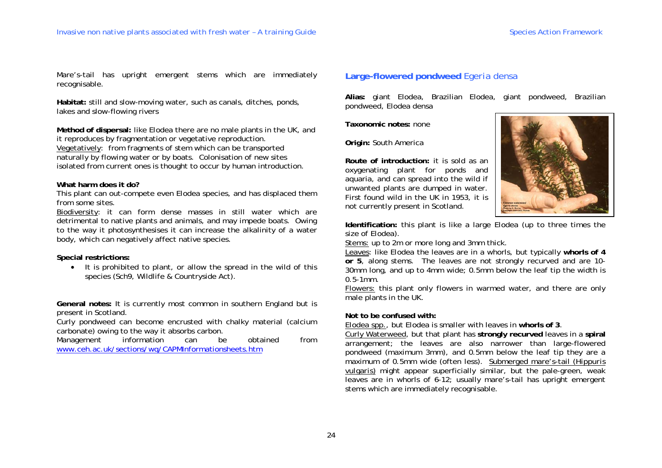Mare's-tail has upright emergent stems which are immediately recognisable.

**Habitat:** still and slow-moving water, such as canals, ditches, ponds, lakes and slow-flowing rivers

**Method of dispersal:** like *Elodea* there are no male plants in the UK, and it reproduces by fragmentation or vegetative reproduction. Vegetatively: from fragments of stem which can be transported naturally by flowing water or by boats. Colonisation of new sites isolated from current ones is thought to occur by human introduction.

#### **What harm does it do?**

This plant can out-compete even *Elodea* species, and has displaced them from some sites.

Biodiversity: it can form dense masses in still water which are detrimental to native plants and animals, and may impede boats. Owing to the way it photosynthesises it can increase the alkalinity of a water body, which can negatively affect native species.

#### **Special restrictions:**

• It is prohibited to plant, or allow the spread in the wild of this species (Sch9, Wildlife & Countryside Act).

**General notes:** It is currently most common in southern England but is present in Scotland.

Curly pondweed can become encrusted with chalky material (calcium carbonate) owing to the way it absorbs carbon.

Management information can be obtained from www.ceh.ac.uk/sections/wq/CAPMInformationsheets.htm

# **Large-flowered pondweed** *Egeria densa*

**Alias:** giant Elodea, Brazilian Elodea, giant pondweed, Brazilian pondweed, *Elodea densa* 

**Taxonomic notes:** none

**Origin:** South America

**Route of introduction:** it is sold as an oxygenating plant for ponds and aquaria, and can spread into the wild if unwanted plants are dumped in water. First found wild in the UK in 1953, it is not currently present in Scotland.



**Identification:** this plant is like a large *Elodea* (up to three times the size of *Elodea*).

Stems: up to 2m or more long and 3mm thick.

Leaves: like *Elodea* the leaves are in a whorls, but typically **whorls of 4 or 5**, along stems. The leaves are not strongly recurved and are 10- 30mm long, and up to 4mm wide; 0.5mm below the leaf tip the width is 0.5-1mm.

Flowers: this plant only flowers in warmed water, and there are only male plants in the UK.

#### **Not to be confused with:**

*Elodea* spp., but *Elodea* is smaller with leaves in **whorls of 3**.

Curly Waterweed, but that plant has **strongly recurved** leaves in a **spiral**  arrangement; the leaves are also narrower than large-flowered pondweed (maximum 3mm), and 0.5mm below the leaf tip they are a maximum of 0.5mm wide (often less). Submerged mare's-tail (*Hippuris vulgaris*) might appear superficially similar, but the pale-green, weak leaves are in whorls of 6-12; usually mare's-tail has upright emergent stems which are immediately recognisable.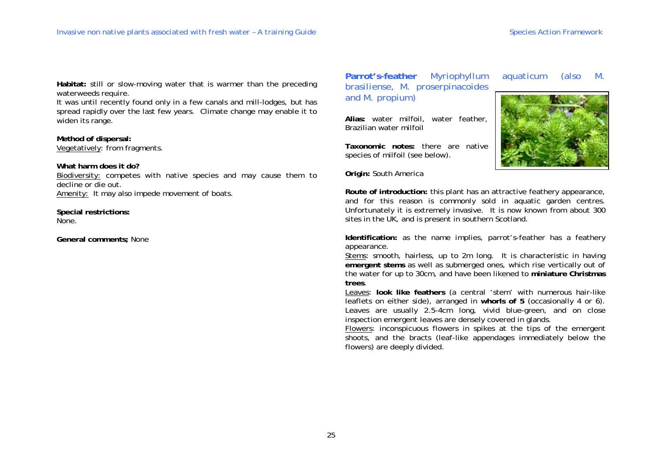**Habitat:** still or slow-moving water that is warmer than the preceding waterweeds require.

It was until recently found only in a few canals and mill-lodges, but has spread rapidly over the last few years. Climate change may enable it to widen its range.

**Method of dispersal:**  Vegetatively: from fragments.

**What harm does it do?** 

Biodiversity: competes with native species and may cause them to decline or die out. Amenity: It may also impede movement of boats.

**Special restrictions:**  None.

**General comments;** None

**Parrot's-feather** *Myriophyllum aquaticum* (also *M. brasiliense, M. proserpinacoides* and *M. propium*)

**Alias:** water milfoil, water feather, Brazilian water milfoil

**Taxonomic notes:** there are native species of milfoil (see below).

**Origin:** South America



**Route of introduction:** this plant has an attractive feathery appearance, and for this reason is commonly sold in aquatic garden centres. Unfortunately it is extremely invasive. It is now known from about 300 sites in the UK, and is present in southern Scotland.

**Identification:** as the name implies, parrot's-feather has a feathery appearance.

Stems: smooth, hairless, up to 2m long. It is characteristic in having **emergent stems** as well as submerged ones, which rise vertically out of the water for up to 30cm, and have been likened to **miniature Christmas trees**.

Leaves: **look like feathers** (a central 'stem' with numerous hair-like leaflets on either side), arranged in **whorls of 5** (occasionally 4 or 6). Leaves are usually 2.5-4cm long, vivid blue-green, and on close inspection emergent leaves are densely covered in glands.

Flowers: inconspicuous flowers in spikes at the tips of the emergent shoots, and the bracts (leaf-like appendages immediately below the flowers) are deeply divided.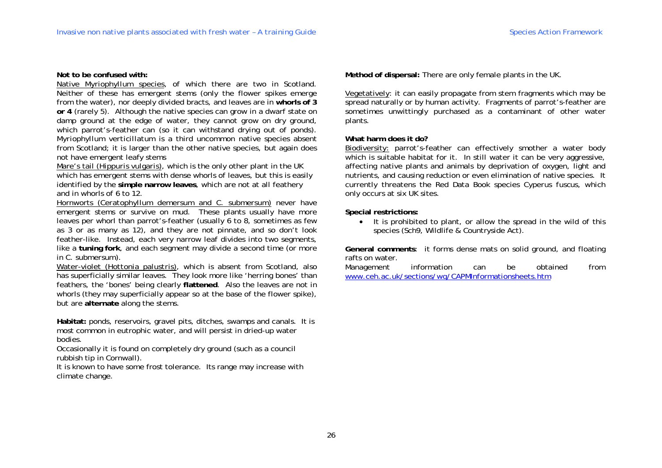## **Not to be confused with:**

Native *Myriophyllum* species, of which there are two in Scotland. Neither of these has emergent stems (only the flower spikes emerge from the water), nor deeply divided bracts, and leaves are in **whorls of 3 or 4** (rarely 5). Although the native species can grow in a dwarf state on damp ground at the edge of water, they cannot grow on dry ground, which parrot's-feather can (so it can withstand drying out of ponds). *Myriophyllum verticillatum* is a third uncommon native species absent from Scotland; it is larger than the other native species, but again does not have emergent leafy stems

Mare's tail (*Hippuris vulgaris*), which is the only other plant in the UK which has emergent stems with dense whorls of leaves, but this is easily identified by the **simple narrow leaves**, which are not at all feathery and in whorls of 6 to 12.

Hornworts (*Ceratophyllum demersum* and *C. submersum*) never have emergent stems or survive on mud. These plants usually have more leaves per whorl than parrot's-feather (usually 6 to 8, sometimes as few as 3 or as many as 12), and they are not pinnate, and so don't look feather-like. Instead, each very narrow leaf divides into two segments, like a **tuning fork**, and each segment may divide a second time (or more in *C. submersum*).

Water-violet (*Hottonia palustris*), which is absent from Scotland, also has superficially similar leaves. They look more like 'herring bones' than feathers, the 'bones' being clearly **flattened**. Also the leaves are not in whorls (they may superficially appear so at the base of the flower spike), but are **alternate** along the stems.

**Habitat:** ponds, reservoirs, gravel pits, ditches, swamps and canals. It is most common in eutrophic water, and will persist in dried-up water bodies.

Occasionally it is found on completely dry ground (such as a council rubbish tip in Cornwall).

It is known to have some frost tolerance. Its range may increase with climate change.

**Method of dispersal:** There are only female plants in the UK.

Vegetatively: it can easily propagate from stem fragments which may be spread naturally or by human activity. Fragments of parrot's-feather are sometimes unwittingly purchased as a contaminant of other water plants.

## **What harm does it do?**

Biodiversity: parrot's-feather can effectively smother a water body which is suitable habitat for it. In still water it can be very aggressive, affecting native plants and animals by deprivation of oxygen, light and nutrients, and causing reduction or even elimination of native species. It currently threatens the Red Data Book species *Cyperus fuscus*, which only occurs at six UK sites.

**Special restrictions:** 

• It is prohibited to plant, or allow the spread in the wild of this species (Sch9, Wildlife & Countryside Act).

**General comments**: it forms dense mats on solid ground, and floating rafts on water.

Management information can be obtained from www.ceh.ac.uk/sections/wq/CAPMInformationsheets.htm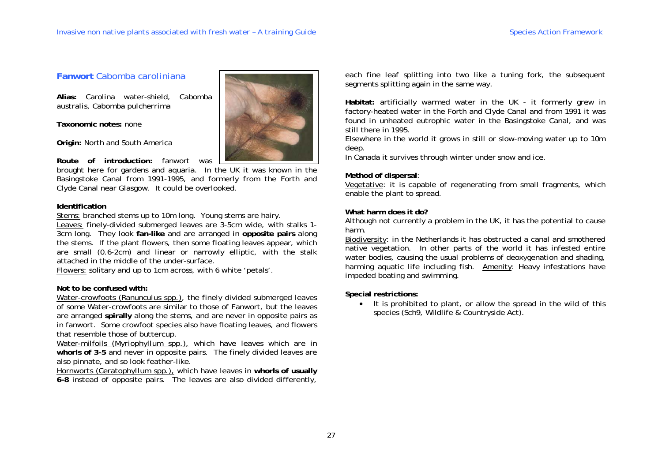# **Fanwort** *Cabomba caroliniana*

**Alias:** Carolina water-shield, *Cabomba australis, Cabomba pulcherrima* 

**Taxonomic notes:** none

**Origin:** North and South America

**Route of introduction:** fanwort was

brought here for gardens and aquaria. In the UK it was known in the Basingstoke Canal from 1991-1995, and formerly from the Forth and Clyde Canal near Glasgow. It could be overlooked.

## **Identification**

Stems: branched stems up to 10m long. Young stems are hairy.

Leaves: finely-divided submerged leaves are 3-5cm wide, with stalks 1- 3cm long. They look **fan-like** and are arranged in **opposite pairs** along the stems. If the plant flowers, then some floating leaves appear, which are small (0.6-2cm) and linear or narrowly elliptic, with the stalk attached in the middle of the under-surface.

Flowers: solitary and up to 1cm across, with 6 white 'petals'.

# **Not to be confused with:**

Water-crowfoots (*Ranunculus* spp.), the finely divided submerged leaves of some Water-crowfoots are similar to those of Fanwort, but the leaves are arranged **spirally** along the stems, and are never in opposite pairs as in fanwort. Some crowfoot species also have floating leaves, and flowers that resemble those of buttercup.

Water-milfoils (*Myriophyllum* spp.), which have leaves which are in **whorls of 3-5** and never in opposite pairs. The finely divided leaves are also pinnate, and so look feather-like.

Hornworts (*Ceratophyllum* spp.), which have leaves in **whorls of usually 6-8** instead of opposite pairs. The leaves are also divided differently,



each fine leaf splitting into two like a tuning fork, the subsequent segments splitting again in the same way.

**Habitat:** artificially warmed water in the UK - it formerly grew in factory-heated water in the Forth and Clyde Canal and from 1991 it was found in unheated eutrophic water in the Basingstoke Canal, and was still there in 1995.

Elsewhere in the world it grows in still or slow-moving water up to 10m deep.

In Canada it survives through winter under snow and ice.

# **Method of dispersal**:

Vegetative: it is capable of regenerating from small fragments, which enable the plant to spread.

# **What harm does it do?**

Although not currently a problem in the UK, it has the potential to cause harm.

Biodiversity: in the Netherlands it has obstructed a canal and smothered native vegetation. In other parts of the world it has infested entire water bodies, causing the usual problems of deoxygenation and shading, harming aquatic life including fish. Amenity: Heavy infestations have impeded boating and swimming.

# **Special restrictions:**

• It is prohibited to plant, or allow the spread in the wild of this species (Sch9, Wildlife & Countryside Act).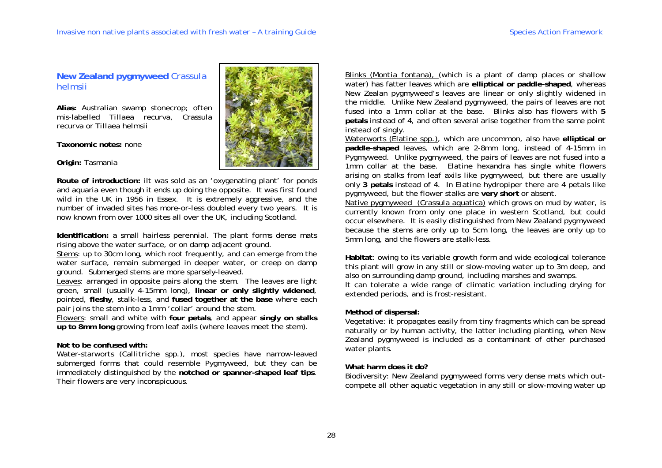**New Zealand pygmyweed** *Crassula helmsii*

**Alias:** Australian swamp stonecrop; often mis-labelled *Tillaea recurva, Crassula recurva* or *Tillaea helmsii*

**Taxonomic notes:** none

**Origin:** Tasmania



**Route of introduction:** iIt was sold as an 'oxygenating plant' for ponds and aquaria even though it ends up doing the opposite. It was first found wild in the UK in 1956 in Essex. It is extremely aggressive, and the number of invaded sites has more-or-less doubled every two years. It is now known from over 1000 sites all over the UK, including Scotland.

**Identification:** a small hairless perennial. The plant forms dense mats rising above the water surface, or on damp adjacent ground.

Stems: up to 30cm long, which root frequently, and can emerge from the water surface, remain submerged in deeper water, or creep on damp ground. Submerged stems are more sparsely-leaved.

Leaves: arranged in opposite pairs along the stem. The leaves are light green, small (usually 4-15mm long), **linear or only slightly widened**, pointed, **fleshy**, stalk-less, and **fused together at the base** where each pair joins the stem into a 1mm 'collar' around the stem.

Flowers: small and white with **four petals**, and appear **singly on stalks up to 8mm long** growing from leaf axils (where leaves meet the stem).

#### **Not to be confused with:**

Water-starworts (*Callitriche* spp.), most species have narrow-leaved submerged forms that could resemble Pygmyweed, but they can be immediately distinguished by the **notched or spanner-shaped leaf tips**. Their flowers are very inconspicuous.

Blinks (*Montia fontana*), (which is a plant of damp places or shallow water) has fatter leaves which are **elliptical or paddle-shaped**, whereas New Zealan pygmyweed's leaves are linear or only slightly widened in the middle. Unlike New Zealand pygmyweed, the pairs of leaves are not fused into a 1mm collar at the base. Blinks also has flowers with **5 petals** instead of 4, and often several arise together from the same point instead of singly.

Waterworts (*Elatine* spp.), which are uncommon, also have **elliptical or paddle-shaped** leaves, which are 2-8mm long, instead of 4-15mm in Pygmyweed. Unlike pygmyweed, the pairs of leaves are not fused into a 1mm collar at the base. *Elatine hexandra* has single white flowers arising on stalks from leaf axils like pygmyweed, but there are usually only **3 petals** instead of 4. In *Elatine hydropiper* there are 4 petals like pygmyweed, but the flower stalks are **very short** or absent.

Native pygmyweed (*Crassula aquatica*) which grows on mud by water, is currently known from only one place in western Scotland, but could occur elsewhere. It is easily distinguished from New Zealand pygmyweed because the stems are only up to 5cm long, the leaves are only up to 5mm long, and the flowers are stalk-less.

**Habitat**: owing to its variable growth form and wide ecological tolerance this plant will grow in any still or slow-moving water up to 3m deep, and also on surrounding damp ground, including marshes and swamps.

It can tolerate a wide range of climatic variation including drying for extended periods, and is frost-resistant.

#### **Method of dispersal:**

Vegetative: it propagates easily from tiny fragments which can be spread naturally or by human activity, the latter including planting, when New Zealand pygmyweed is included as a contaminant of other purchased water plants.

#### **What harm does it do?**

Biodiversity: New Zealand pygmyweed forms very dense mats which outcompete all other aquatic vegetation in any still or slow-moving water up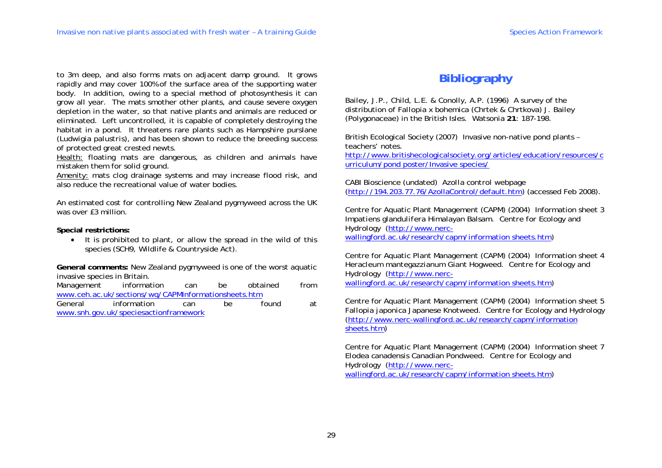to 3m deep, and also forms mats on adjacent damp ground. It grows rapidly and may cover 100% of the surface area of the supporting water body. In addition, owing to a special method of photosynthesis it can grow all year. The mats smother other plants, and cause severe oxygen depletion in the water, so that native plants and animals are reduced or eliminated. Left uncontrolled, it is capable of completely destroying the habitat in a pond. It threatens rare plants such as Hampshire purslane (*Ludwigia palustris*), and has been shown to reduce the breeding success of protected great crested newts.

Health: floating mats are dangerous, as children and animals have mistaken them for solid ground.

Amenity: mats clog drainage systems and may increase flood risk, and also reduce the recreational value of water bodies.

An estimated cost for controlling New Zealand pygmyweed across the UK was over £3 million

**Special restrictions:** 

• It is prohibited to plant, or allow the spread in the wild of this species (SCH9, Wildlife & Countryside Act).

**General comments:** New Zealand pygmyweed is one of the worst aquatic invasive species in Britain.

Management information can be obtained from www.ceh.ac.uk/sections/wq/CAPMInformationsheets.htm

General information can be found at www.snh.gov.uk/speciesactionframework

# **Bibliography**

Bailey, J.P., Child, L.E. & Conolly, A.P. (1996) A survey of the distribution of *Fallopia x bohemica* (Chrtek & Chrtkova) J. Bailey (Polygonaceae) in the British Isles. *Watsonia* **21**: 187-198.

British Ecological Society (2007) Invasive non-native pond plants – teachers' notes.

http://www.britishecologicalsociety.org/articles/education/resources/c urriculum/pond poster/Invasive species/

CABI Bioscience (undated) *Azolla control* webpage (http://194.203.77.76/AzollaControl/default.htm) (accessed Feb 2008).

Centre for Aquatic Plant Management (CAPM) (2004) Information sheet 3 *Impatiens glandulifera* Himalayan Balsam. *Centre for Ecology and Hydrology* (http://www.nercwallingford.ac.uk/research/capm/information sheets.htm)

Centre for Aquatic Plant Management (CAPM) (2004) Information sheet 4 *Heracleum mantegazzianum* Giant Hogweed. *Centre for Ecology and Hydrology* (http://www.nercwallingford.ac.uk/research/capm/information sheets.htm)

Centre for Aquatic Plant Management (CAPM) (2004) Information sheet 5 *Fallopia japonica* Japanese Knotweed. *Centre for Ecology and Hydrology* (http://www.nerc-wallingford.ac.uk/research/capm/information sheets.htm)

Centre for Aquatic Plant Management (CAPM) (2004) Information sheet 7 *Elodea canadensis* Canadian Pondweed. *Centre for Ecology and Hydrology* (http://www.nercwallingford.ac.uk/research/capm/information sheets.htm)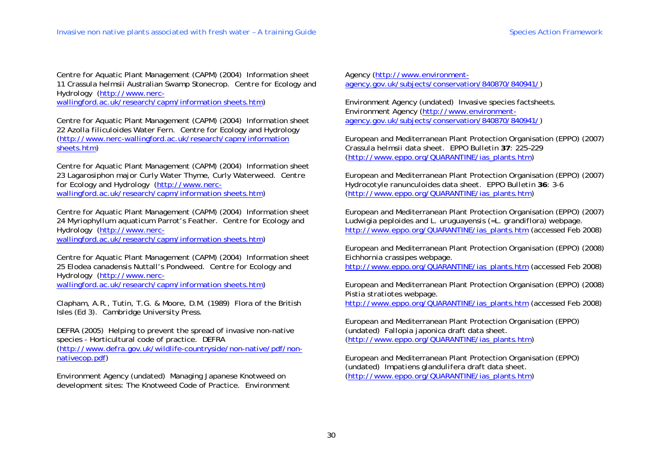Centre for Aquatic Plant Management (CAPM) (2004) Information sheet 11 *Crassula helmsii* Australian Swamp Stonecrop. *Centre for Ecology and Hydrology* (http://www.nerc-

wallingford.ac.uk/research/capm/information sheets.htm)

Centre for Aquatic Plant Management (CAPM) (2004) Information sheet 22 *Azolla filiculoides* Water Fern. *Centre for Ecology and Hydrology* (http://www.nerc-wallingford.ac.uk/research/capm/information sheets.htm)

Centre for Aquatic Plant Management (CAPM) (2004) Information sheet 23 *Lagarosiphon major* Curly Water Thyme, Curly Waterweed. *Centre for Ecology and Hydrology* (http://www.nercwallingford.ac.uk/research/capm/information sheets.htm)

Centre for Aquatic Plant Management (CAPM) (2004) Information sheet 24 *Myriophyllum aquaticum* Parrot's Feather. *Centre for Ecology and Hydrology* (http://www.nerc-

wallingford.ac.uk/research/capm/information sheets.htm)

Centre for Aquatic Plant Management (CAPM) (2004) Information sheet 25 *Elodea canadensis* Nuttall's Pondweed. *Centre for Ecology and Hydrology* (http://www.nercwallingford.ac.uk/research/capm/information sheets.htm)

Clapham, A.R., Tutin, T.G. & Moore, D.M. (1989) Flora of the British Isles (Ed 3). *Cambridge University Press*.

DEFRA (2005) Helping to prevent the spread of invasive non-native species - Horticultural code of practice. *DEFRA*  (http://www.defra.gov.uk/wildlife-countryside/non-native/pdf/nonnativecop.pdf)

Environment Agency (undated) Managing Japanese Knotweed on development sites: The Knotweed Code of Practice. *Environment*  *Agency* (http://www.environmentagency.gov.uk/subjects/conservation/840870/840941/)

Environment Agency (undated) Invasive species factsheets. *Environment Agency* (http://www.environmentagency.gov.uk/subjects/conservation/840870/840941/)

European and Mediterranean Plant Protection Organisation (EPPO) (2007) *Crassula helmsii* data sheet. *EPPO Bulletin* **37**: 225–229 (http://www.eppo.org/QUARANTINE/ias\_plants.htm)

European and Mediterranean Plant Protection Organisation (EPPO) (2007) *Hydrocotyle ranunculoides* data sheet. *EPPO Bulletin* **36**: 3-6 (http://www.eppo.org/QUARANTINE/ias\_plants.htm)

European and Mediterranean Plant Protection Organisation (EPPO) (2007) *Ludwigia peploides and L. uruguayensis (=L. grandiflora)* webpage. http://www.eppo.org/QUARANTINE/ias\_plants.htm (accessed Feb 2008)

European and Mediterranean Plant Protection Organisation (EPPO) (2008) *Eichhornia crassipes* webpage.

http://www.eppo.org/QUARANTINE/ias\_plants.htm (accessed Feb 2008)

European and Mediterranean Plant Protection Organisation (EPPO) (2008) *Pistia stratiotes* webpage.

http://www.eppo.org/QUARANTINE/ias\_plants.htm (accessed Feb 2008)

European and Mediterranean Plant Protection Organisation (EPPO) (undated) *Fallopia japonica* draft data sheet. (http://www.eppo.org/QUARANTINE/ias\_plants.htm)

European and Mediterranean Plant Protection Organisation (EPPO) (undated) *Impatiens glandulifera* draft data sheet. (http://www.eppo.org/QUARANTINE/ias\_plants.htm)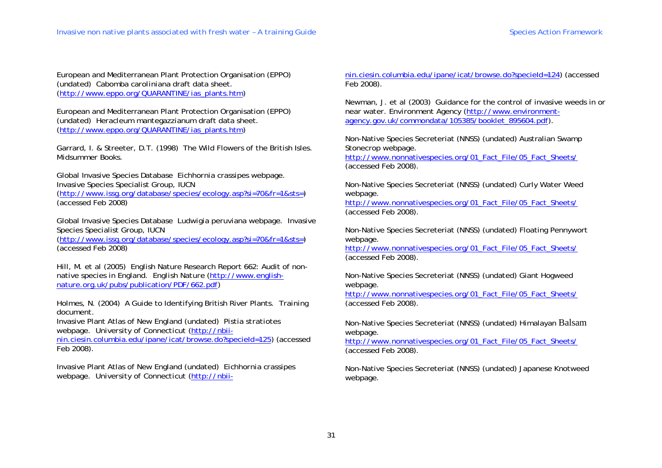European and Mediterranean Plant Protection Organisation (EPPO) (undated) *Cabomba caroliniana* draft data sheet. (http://www.eppo.org/QUARANTINE/ias\_plants.htm)

European and Mediterranean Plant Protection Organisation (EPPO) (undated) *Heracleum mantegazzianum* draft data sheet. (http://www.eppo.org/QUARANTINE/ias\_plants.htm)

Garrard, I. & Streeter, D.T. (1998) The Wild Flowers of the British Isles. *Midsummer Books*.

Global Invasive Species Database *Eichhornia crassipes* webpage. Invasive Species Specialist Group, IUCN (http://www.issg.org/database/species/ecology.asp?si=70&fr=1&sts=) (accessed Feb 2008)

Global Invasive Species Database *Ludwigia peruviana* webpage. Invasive Species Specialist Group, IUCN

(http://www.issg.org/database/species/ecology.asp?si=70&fr=1&sts=) (accessed Feb 2008)

Hill, M. *et al* (2005) English Nature Research Report 662: Audit of nonnative species in England. *English Nature* (http://www.englishnature.org.uk/pubs/publication/PDF/662.pdf)

Holmes, N. (2004) A Guide to Identifying British River Plants. *Training document*.

Invasive Plant Atlas of New England (undated) *Pistia stratiotes*  webpage. *University of Connecticut* (http://nbii-

nin.ciesin.columbia.edu/ipane/icat/browse.do?specieId=125) (accessed Feb 2008).

Invasive Plant Atlas of New England (undated) *Eichhornia crassipes*  webpage. *University of Connecticut* (http://nbii-

nin.ciesin.columbia.edu/ipane/icat/browse.do?specieId=124) (accessed Feb 2008).<br>Newman, J. *et al* (2003) Guidance for the control of invasive weeds in or near water. *Environment Agency* (http://www.environment-agency.gov

Non-Native Species Secreteriat (NNSS) (undated) Australian Swamp Stonecrop webpage.<br>http://www.nonnativespecies.org/01\_Fact\_File/05\_Fact\_Sheets/

(accessed Feb 2008).<br>
Non-Native Species Secreteriat (NNSS) (undated) Curly Water Weed<br>
webpage.<br>
<u>http://www.nonnativespecies.org/01\_Fact\_File/05\_Fact\_Sheets/</u><br>
(accessed Feb 2008).

Non-Native Species Secreteriat (NNSS) (undated) Floating Pennywort<br>webpage.<br>http://www.nonnativespecies.org/01\_Fact\_File/05\_Fact\_Sheets/<br>(accessed Feb 2008).

Non-Native Species Secreteriat (NNSS) (undated) Giant Hogweed<br>webpage.<br>http://www.nonnativespecies.org/01\_Fact\_File/05\_Fact\_Sheets/

(accessed Feb 2008). Non-Native Species Secreteriat (NNSS) (undated) Himalayan Balsam

webpage.<br>http://www.nonnativespecies.org/01\_Fact\_File/05\_Fact\_Sheets/<br>(accessed Feb 2008).

Non-Native Species Secreteriat (NNSS) (undated) Japanese Knotweed webpage.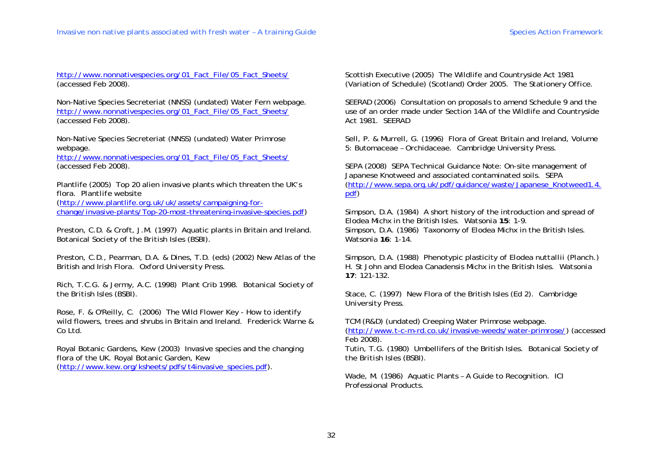http://www.nonnativespecies.org/01\_Fact\_File/05\_Fact\_Sheets/ (accessed Feb 2008).

Non-Native Species Secreteriat (NNSS) (undated) Water Fern webpage. http://www.nonnativespecies.org/01\_Fact\_File/05\_Fact\_Sheets/ (accessed Feb 2008).

Non-Native Species Secreteriat (NNSS) (undated) Water Primrose webpage.

http://www.nonnativespecies.org/01\_Fact\_File/05\_Fact\_Sheets/ (accessed Feb 2008).

Plantlife (2005) Top 20 alien invasive plants which threaten the UK's flora. *Plantlife* website

(http://www.plantlife.org.uk/uk/assets/campaigning-forchange/invasive-plants/Top-20-most-threatening-invasive-species.pdf)

Preston, C.D. & Croft, J.M. (1997) Aquatic plants in Britain and Ireland. *Botanical Society of the British Isles (BSBI)*.

Preston, C.D., Pearman, D.A. & Dines, T.D. (eds) (2002) New Atlas of the British and Irish Flora. *Oxford University Press.* 

Rich, T.C.G. & Jermy, A.C. (1998) Plant Crib 1998. *Botanical Society of the British Isles (BSBI)*.

Rose, F. & O'Reilly, C. (2006) The Wild Flower Key - How to identify wild flowers, trees and shrubs in Britain and Ireland. *Frederick Warne & Co Ltd*.

Royal Botanic Gardens, Kew (2003) Invasive species and the changing flora of the UK*. Royal Botanic Garden, Kew* (http://www.kew.org/ksheets/pdfs/t4invasive\_species.pdf).

Scottish Executive (2005) The Wildlife and Countryside Act 1981 (Variation of Schedule) (Scotland) Order 2005. *The Stationery Office.*

SEERAD (2006) Consultation on proposals to amend Schedule 9 and the use of an order made under Section 14A of the Wildlife and Countryside Act 1981. *SEERAD*

Sell, P. & Murrell, G. (1996) Flora of Great Britain and Ireland, Volume 5: Butomaceae – Orchidaceae. *Cambridge University Press*.

SEPA (2008) SEPA Technical Guidance Note: On-site management of Japanese Knotweed and associated contaminated soils. *SEPA* (http://www.sepa.org.uk/pdf/guidance/waste/Japanese\_Knotweed1.4. pdf)

Simpson, D.A. (1984) A short history of the introduction and spread of *Elodea* Michx in the British Isles. *Watsonia* **15**: 1-9. Simpson, D.A. (1986) Taxonomy of *Elodea* Michx in the British Isles. *Watsonia* **16**: 1-14.

Simpson, D.A. (1988) Phenotypic plasticity of *Elodea nuttallii* (Planch.) H. St John and *Elodea Canadensis* Michx in the British Isles. *Watsonia*  **17**: 121-132.

Stace, C. (1997) New Flora of the British Isles (Ed 2). *Cambridge University Press*.

TCM (R&D) (undated) Creeping Water Primrose webpage.

(http://www.t-c-m-rd.co.uk/invasive-weeds/water-primrose/) (accessed Feb 2008).

Tutin, T.G. (1980) Umbellifers of the British Isles. *Botanical Society of the British Isles (BSBI)*.

Wade, M. (1986) Aquatic Plants – A Guide to Recognition*. ICI Professional Products*.